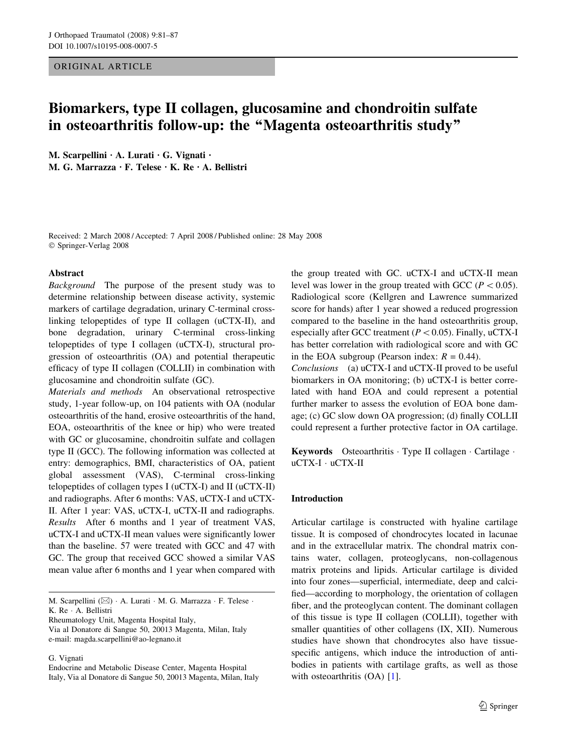### ORIGINAL ARTICLE

# Biomarkers, type II collagen, glucosamine and chondroitin sulfate in osteoarthritis follow-up: the ''Magenta osteoarthritis study''

M. Scarpellini  $\cdot$  A. Lurati  $\cdot$  G. Vignati  $\cdot$ M. G. Marrazza  $\cdot$  F. Telese  $\cdot$  K. Re  $\cdot$  A. Bellistri

Received: 2 March 2008 / Accepted: 7 April 2008 / Published online: 28 May 2008 Springer-Verlag 2008

#### Abstract

Background The purpose of the present study was to determine relationship between disease activity, systemic markers of cartilage degradation, urinary C-terminal crosslinking telopeptides of type II collagen (uCTX-II), and bone degradation, urinary C-terminal cross-linking telopeptides of type I collagen (uCTX-I), structural progression of osteoarthritis (OA) and potential therapeutic efficacy of type II collagen (COLLII) in combination with glucosamine and chondroitin sulfate (GC).

Materials and methods An observational retrospective study, 1-year follow-up, on 104 patients with OA (nodular osteoarthritis of the hand, erosive osteoarthritis of the hand, EOA, osteoarthritis of the knee or hip) who were treated with GC or glucosamine, chondroitin sulfate and collagen type II (GCC). The following information was collected at entry: demographics, BMI, characteristics of OA, patient global assessment (VAS), C-terminal cross-linking telopeptides of collagen types I (uCTX-I) and II (uCTX-II) and radiographs. After 6 months: VAS, uCTX-I and uCTX-II. After 1 year: VAS, uCTX-I, uCTX-II and radiographs. Results After 6 months and 1 year of treatment VAS, uCTX-I and uCTX-II mean values were significantly lower than the baseline. 57 were treated with GCC and 47 with GC. The group that received GCC showed a similar VAS mean value after 6 months and 1 year when compared with

M. Scarpellini ( $\boxtimes$ ) · A. Lurati · M. G. Marrazza · F. Telese · K. Re · A. Bellistri

Rheumatology Unit, Magenta Hospital Italy,

Via al Donatore di Sangue 50, 20013 Magenta, Milan, Italy e-mail: magda.scarpellini@ao-legnano.it

G. Vignati

Endocrine and Metabolic Disease Center, Magenta Hospital Italy, Via al Donatore di Sangue 50, 20013 Magenta, Milan, Italy the group treated with GC. uCTX-I and uCTX-II mean level was lower in the group treated with GCC ( $P < 0.05$ ). Radiological score (Kellgren and Lawrence summarized score for hands) after 1 year showed a reduced progression compared to the baseline in the hand osteoarthritis group, especially after GCC treatment ( $P \lt 0.05$ ). Finally, uCTX-I has better correlation with radiological score and with GC in the EOA subgroup (Pearson index:  $R = 0.44$ ).

Conclusions (a) uCTX-I and uCTX-II proved to be useful biomarkers in OA monitoring; (b) uCTX-I is better correlated with hand EOA and could represent a potential further marker to assess the evolution of EOA bone damage; (c) GC slow down OA progression; (d) finally COLLII could represent a further protective factor in OA cartilage.

Keywords Osteoarthritis · Type II collagen · Cartilage ·  $u$ CTX-I  $\cdot u$ CTX-II

#### Introduction

Articular cartilage is constructed with hyaline cartilage tissue. It is composed of chondrocytes located in lacunae and in the extracellular matrix. The chondral matrix contains water, collagen, proteoglycans, non-collagenous matrix proteins and lipids. Articular cartilage is divided into four zones—superficial, intermediate, deep and calcified—according to morphology, the orientation of collagen fiber, and the proteoglycan content. The dominant collagen of this tissue is type II collagen (COLLII), together with smaller quantities of other collagens (IX, XII). Numerous studies have shown that chondrocytes also have tissuespecific antigens, which induce the introduction of antibodies in patients with cartilage grafts, as well as those with osteoarthritis (OA) [[1\]](#page-5-0).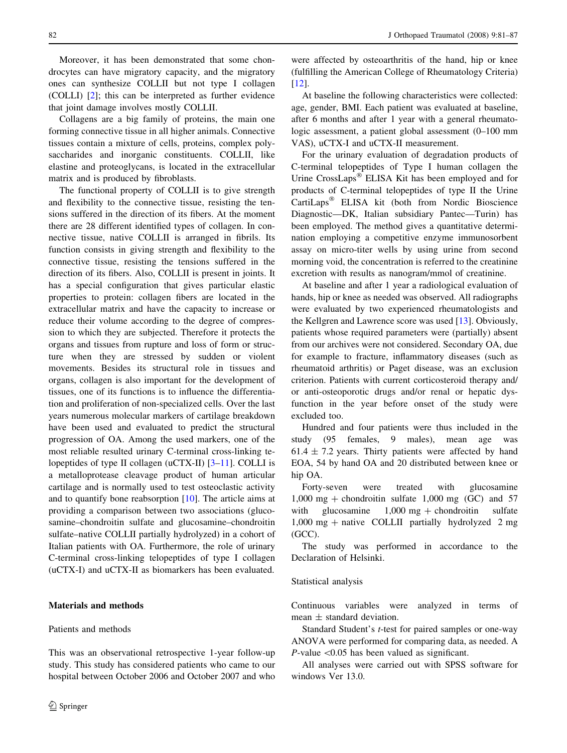Moreover, it has been demonstrated that some chondrocytes can have migratory capacity, and the migratory ones can synthesize COLLII but not type I collagen (COLLI) [[2\]](#page-5-0); this can be interpreted as further evidence that joint damage involves mostly COLLII.

Collagens are a big family of proteins, the main one forming connective tissue in all higher animals. Connective tissues contain a mixture of cells, proteins, complex polysaccharides and inorganic constituents. COLLII, like elastine and proteoglycans, is located in the extracellular matrix and is produced by fibroblasts.

The functional property of COLLII is to give strength and flexibility to the connective tissue, resisting the tensions suffered in the direction of its fibers. At the moment there are 28 different identified types of collagen. In connective tissue, native COLLII is arranged in fibrils. Its function consists in giving strength and flexibility to the connective tissue, resisting the tensions suffered in the direction of its fibers. Also, COLLII is present in joints. It has a special configuration that gives particular elastic properties to protein: collagen fibers are located in the extracellular matrix and have the capacity to increase or reduce their volume according to the degree of compression to which they are subjected. Therefore it protects the organs and tissues from rupture and loss of form or structure when they are stressed by sudden or violent movements. Besides its structural role in tissues and organs, collagen is also important for the development of tissues, one of its functions is to influence the differentiation and proliferation of non-specialized cells. Over the last years numerous molecular markers of cartilage breakdown have been used and evaluated to predict the structural progression of OA. Among the used markers, one of the most reliable resulted urinary C-terminal cross-linking telopeptides of type II collagen (uCTX-II) [\[3–11](#page-5-0)]. COLLI is a metalloprotease cleavage product of human articular cartilage and is normally used to test osteoclastic activity and to quantify bone reabsorption [\[10](#page-5-0)]. The article aims at providing a comparison between two associations (glucosamine–chondroitin sulfate and glucosamine–chondroitin sulfate–native COLLII partially hydrolyzed) in a cohort of Italian patients with OA. Furthermore, the role of urinary C-terminal cross-linking telopeptides of type I collagen (uCTX-I) and uCTX-II as biomarkers has been evaluated.

#### Materials and methods

#### Patients and methods

This was an observational retrospective 1-year follow-up study. This study has considered patients who came to our hospital between October 2006 and October 2007 and who

were affected by osteoarthritis of the hand, hip or knee (fulfilling the American College of Rheumatology Criteria) [\[12](#page-5-0)].

At baseline the following characteristics were collected: age, gender, BMI. Each patient was evaluated at baseline, after 6 months and after 1 year with a general rheumatologic assessment, a patient global assessment (0–100 mm VAS), uCTX-I and uCTX-II measurement.

For the urinary evaluation of degradation products of C-terminal telopeptides of Type I human collagen the Urine CrossLaps<sup>®</sup> ELISA Kit has been employed and for products of C-terminal telopeptides of type II the Urine CartiLaps<sup>®</sup> ELISA kit (both from Nordic Bioscience Diagnostic—DK, Italian subsidiary Pantec—Turin) has been employed. The method gives a quantitative determination employing a competitive enzyme immunosorbent assay on micro-titer wells by using urine from second morning void, the concentration is referred to the creatinine excretion with results as nanogram/mmol of creatinine.

At baseline and after 1 year a radiological evaluation of hands, hip or knee as needed was observed. All radiographs were evaluated by two experienced rheumatologists and the Kellgren and Lawrence score was used [\[13\]](#page-5-0). Obviously, patients whose required parameters were (partially) absent from our archives were not considered. Secondary OA, due for example to fracture, inflammatory diseases (such as rheumatoid arthritis) or Paget disease, was an exclusion criterion. Patients with current corticosteroid therapy and/ or anti-osteoporotic drugs and/or renal or hepatic dysfunction in the year before onset of the study were excluded too.

Hundred and four patients were thus included in the study (95 females, 9 males), mean age was 61.4  $\pm$  7.2 years. Thirty patients were affected by hand EOA, 54 by hand OA and 20 distributed between knee or hip OA.

Forty-seven were treated with glucosamine  $1,000 \text{ mg} + \text{chondroitin}$  sulfate  $1,000 \text{ mg}$  (GC) and 57 with glucosamine  $1,000 \text{ mg} + \text{chondroitin}$  sulfate 1,000 mg + native COLLII partially hydrolyzed 2 mg (GCC).

The study was performed in accordance to the Declaration of Helsinki.

#### Statistical analysis

Continuous variables were analyzed in terms of mean  $\pm$  standard deviation.

Standard Student's t-test for paired samples or one-way ANOVA were performed for comparing data, as needed. A  $P$ -value  $\leq 0.05$  has been valued as significant.

All analyses were carried out with SPSS software for windows Ver 13.0.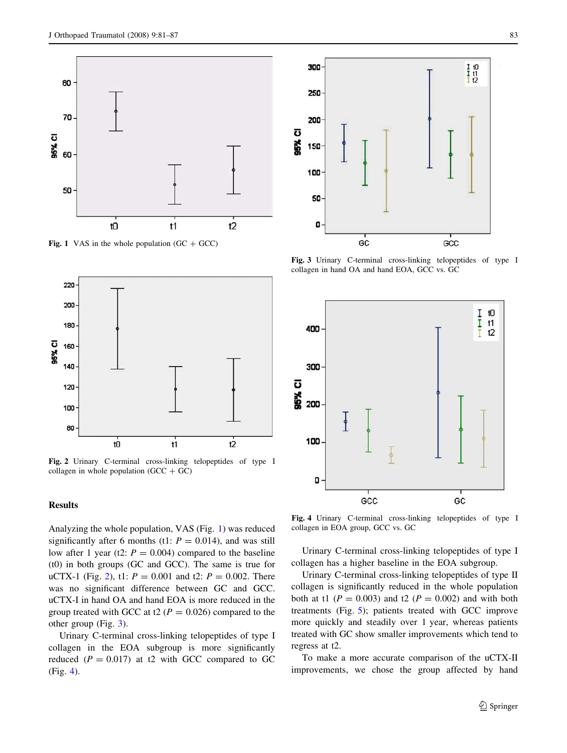

Fig. 1 VAS in the whole population  $(GC + GCC)$ 



Fig. 2 Urinary C-terminal cross-linking telopeptides of type I collagen in whole population  $(GCC + GC)$ 

#### Results

Analyzing the whole population, VAS (Fig. 1) was reduced significantly after 6 months (t1:  $P = 0.014$ ), and was still low after 1 year (t2:  $P = 0.004$ ) compared to the baseline (t0) in both groups (GC and GCC). The same is true for uCTX-1 (Fig. 2), t1:  $P = 0.001$  and t2:  $P = 0.002$ . There was no significant difference between GC and GCC. uCTX-I in hand OA and hand EOA is more reduced in the group treated with GCC at t2 ( $P = 0.026$ ) compared to the other group (Fig. 3).

Urinary C-terminal cross-linking telopeptides of type I collagen in the EOA subgroup is more significantly reduced  $(P = 0.017)$  at t2 with GCC compared to GC (Fig. 4).



Fig. 3 Urinary C-terminal cross-linking telopeptides of type I collagen in hand OA and hand EOA, GCC vs. GC



Fig. 4 Urinary C-terminal cross-linking telopeptides of type I collagen in EOA group, GCC vs. GC

Urinary C-terminal cross-linking telopeptides of type I collagen has a higher baseline in the EOA subgroup.

Urinary C-terminal cross-linking telopeptides of type II collagen is significantly reduced in the whole population both at t1 ( $P = 0.003$ ) and t2 ( $P = 0.002$ ) and with both treatments (Fig. [5\)](#page-3-0); patients treated with GCC improve more quickly and steadily over 1 year, whereas patients treated with GC show smaller improvements which tend to regress at t2.

To make a more accurate comparison of the uCTX-II improvements, we chose the group affected by hand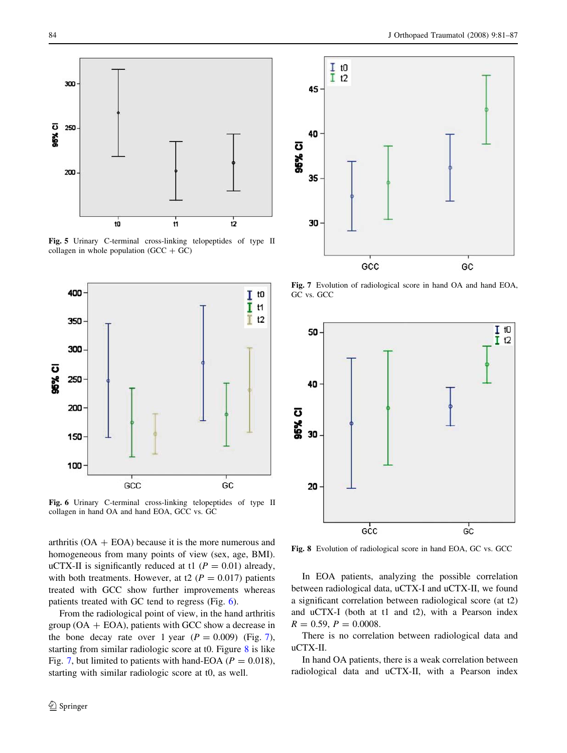<span id="page-3-0"></span>

Fig. 5 Urinary C-terminal cross-linking telopeptides of type II collagen in whole population  $(GCC + GC)$ 



Fig. 6 Urinary C-terminal cross-linking telopeptides of type II collagen in hand OA and hand EOA, GCC vs. GC

arthritis  $(OA + EOA)$  because it is the more numerous and homogeneous from many points of view (sex, age, BMI). uCTX-II is significantly reduced at t1 ( $P = 0.01$ ) already, with both treatments. However, at t2 ( $P = 0.017$ ) patients treated with GCC show further improvements whereas patients treated with GC tend to regress (Fig. 6).

From the radiological point of view, in the hand arthritis group ( $OA + EOA$ ), patients with GCC show a decrease in the bone decay rate over 1 year  $(P = 0.009)$  (Fig. 7), starting from similar radiologic score at t0. Figure 8 is like Fig. 7, but limited to patients with hand-EOA ( $P = 0.018$ ), starting with similar radiologic score at t0, as well.



Fig. 7 Evolution of radiological score in hand OA and hand EOA, GC vs. GCC



Fig. 8 Evolution of radiological score in hand EOA, GC vs. GCC

In EOA patients, analyzing the possible correlation between radiological data, uCTX-I and uCTX-II, we found a significant correlation between radiological score (at t2) and uCTX-I (both at t1 and t2), with a Pearson index  $R = 0.59, P = 0.0008.$ 

There is no correlation between radiological data and uCTX-II.

In hand OA patients, there is a weak correlation between radiological data and uCTX-II, with a Pearson index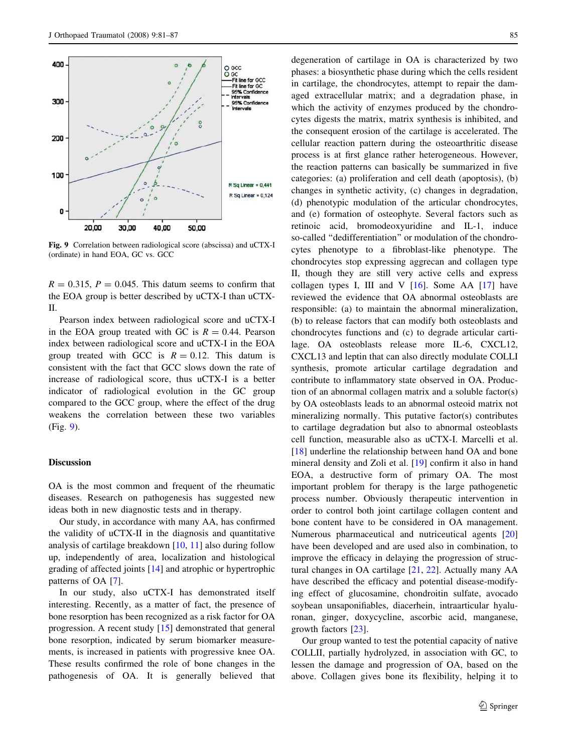

Fig. 9 Correlation between radiological score (abscissa) and uCTX-I (ordinate) in hand EOA, GC vs. GCC

 $R = 0.315$ ,  $P = 0.045$ . This datum seems to confirm that the EOA group is better described by uCTX-I than uCTX-II.

Pearson index between radiological score and uCTX-I in the EOA group treated with GC is  $R = 0.44$ . Pearson index between radiological score and uCTX-I in the EOA group treated with GCC is  $R = 0.12$ . This datum is consistent with the fact that GCC slows down the rate of increase of radiological score, thus uCTX-I is a better indicator of radiological evolution in the GC group compared to the GCC group, where the effect of the drug weakens the correlation between these two variables (Fig. 9).

# Discussion

OA is the most common and frequent of the rheumatic diseases. Research on pathogenesis has suggested new ideas both in new diagnostic tests and in therapy.

Our study, in accordance with many AA, has confirmed the validity of uCTX-II in the diagnosis and quantitative analysis of cartilage breakdown [\[10](#page-5-0), [11\]](#page-5-0) also during follow up, independently of area, localization and histological grading of affected joints [\[14](#page-5-0)] and atrophic or hypertrophic patterns of OA [[7\]](#page-5-0).

In our study, also uCTX-I has demonstrated itself interesting. Recently, as a matter of fact, the presence of bone resorption has been recognized as a risk factor for OA progression. A recent study [\[15](#page-5-0)] demonstrated that general bone resorption, indicated by serum biomarker measurements, is increased in patients with progressive knee OA. These results confirmed the role of bone changes in the pathogenesis of OA. It is generally believed that degeneration of cartilage in OA is characterized by two phases: a biosynthetic phase during which the cells resident in cartilage, the chondrocytes, attempt to repair the damaged extracellular matrix; and a degradation phase, in which the activity of enzymes produced by the chondrocytes digests the matrix, matrix synthesis is inhibited, and the consequent erosion of the cartilage is accelerated. The cellular reaction pattern during the osteoarthritic disease process is at first glance rather heterogeneous. However, the reaction patterns can basically be summarized in five categories: (a) proliferation and cell death (apoptosis), (b) changes in synthetic activity, (c) changes in degradation, (d) phenotypic modulation of the articular chondrocytes, and (e) formation of osteophyte. Several factors such as retinoic acid, bromodeoxyuridine and IL-1, induce so-called ''dedifferentiation'' or modulation of the chondrocytes phenotype to a fibroblast-like phenotype. The chondrocytes stop expressing aggrecan and collagen type II, though they are still very active cells and express collagen types I, III and V  $[16]$  $[16]$ . Some AA  $[17]$  $[17]$  have reviewed the evidence that OA abnormal osteoblasts are responsible: (a) to maintain the abnormal mineralization, (b) to release factors that can modify both osteoblasts and chondrocytes functions and (c) to degrade articular cartilage. OA osteoblasts release more IL-6, CXCL12, CXCL13 and leptin that can also directly modulate COLLI synthesis, promote articular cartilage degradation and contribute to inflammatory state observed in OA. Production of an abnormal collagen matrix and a soluble factor(s) by OA osteoblasts leads to an abnormal osteoid matrix not mineralizing normally. This putative factor(s) contributes to cartilage degradation but also to abnormal osteoblasts cell function, measurable also as uCTX-I. Marcelli et al. [\[18](#page-5-0)] underline the relationship between hand OA and bone mineral density and Zoli et al. [[19\]](#page-6-0) confirm it also in hand EOA, a destructive form of primary OA. The most important problem for therapy is the large pathogenetic process number. Obviously therapeutic intervention in order to control both joint cartilage collagen content and bone content have to be considered in OA management. Numerous pharmaceutical and nutriceutical agents [[20\]](#page-6-0) have been developed and are used also in combination, to improve the efficacy in delaying the progression of structural changes in OA cartilage [\[21](#page-6-0), [22\]](#page-6-0). Actually many AA have described the efficacy and potential disease-modifying effect of glucosamine, chondroitin sulfate, avocado soybean unsaponifiables, diacerhein, intraarticular hyaluronan, ginger, doxycycline, ascorbic acid, manganese, growth factors [[23\]](#page-6-0).

Our group wanted to test the potential capacity of native COLLII, partially hydrolyzed, in association with GC, to lessen the damage and progression of OA, based on the above. Collagen gives bone its flexibility, helping it to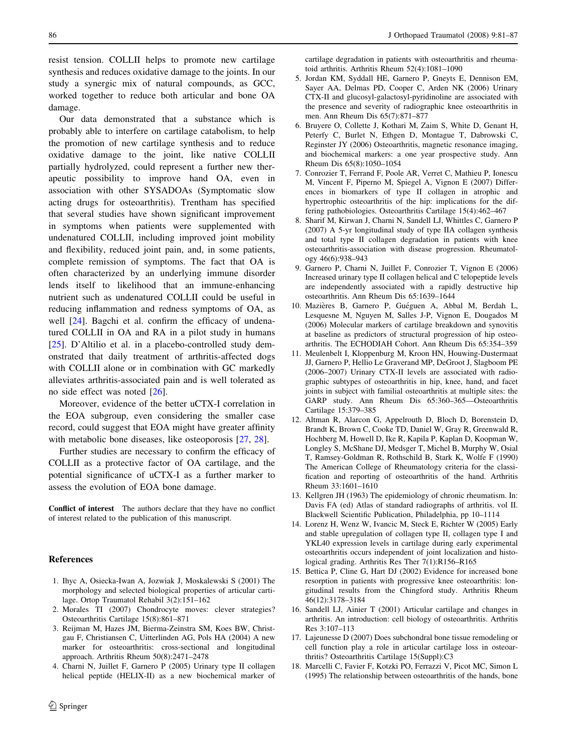<span id="page-5-0"></span>resist tension. COLLII helps to promote new cartilage synthesis and reduces oxidative damage to the joints. In our study a synergic mix of natural compounds, as GCC, worked together to reduce both articular and bone OA damage.

Our data demonstrated that a substance which is probably able to interfere on cartilage catabolism, to help the promotion of new cartilage synthesis and to reduce oxidative damage to the joint, like native COLLII partially hydrolyzed, could represent a further new therapeutic possibility to improve hand OA, even in association with other SYSADOAs (Symptomatic slow acting drugs for osteoarthritis). Trentham has specified that several studies have shown significant improvement in symptoms when patients were supplemented with undenatured COLLII, including improved joint mobility and flexibility, reduced joint pain, and, in some patients, complete remission of symptoms. The fact that OA is often characterized by an underlying immune disorder lends itself to likelihood that an immune-enhancing nutrient such as undenatured COLLII could be useful in reducing inflammation and redness symptoms of OA, as well [\[24](#page-6-0)]. Bagchi et al. confirm the efficacy of undenatured COLLII in OA and RA in a pilot study in humans [\[25](#page-6-0)]. D'Altilio et al. in a placebo-controlled study demonstrated that daily treatment of arthritis-affected dogs with COLLII alone or in combination with GC markedly alleviates arthritis-associated pain and is well tolerated as no side effect was noted [\[26](#page-6-0)].

Moreover, evidence of the better uCTX-I correlation in the EOA subgroup, even considering the smaller case record, could suggest that EOA might have greater affinity with metabolic bone diseases, like osteoporosis [\[27](#page-6-0), [28](#page-6-0)].

Further studies are necessary to confirm the efficacy of COLLII as a protective factor of OA cartilage, and the potential significance of uCTX-I as a further marker to assess the evolution of EOA bone damage.

Conflict of interest The authors declare that they have no conflict of interest related to the publication of this manuscript.

## **References**

- 1. Ihyc A, Osiecka-Iwan A, Jozwiak J, Moskalewski S (2001) The morphology and selected biological properties of articular cartilage. Ortop Traumatol Rehabil 3(2):151–162
- 2. Morales TI (2007) Chondrocyte moves: clever strategies? Osteoarthritis Cartilage 15(8):861–871
- 3. Reijman M, Hazes JM, Bierma-Zeinstra SM, Koes BW, Christgau F, Christiansen C, Uitterlinden AG, Pols HA (2004) A new marker for osteoarthritis: cross-sectional and longitudinal approach. Arthritis Rheum 50(8):2471–2478
- 4. Charni N, Juillet F, Garnero P (2005) Urinary type II collagen helical peptide (HELIX-II) as a new biochemical marker of

cartilage degradation in patients with osteoarthritis and rheumatoid arthritis. Arthritis Rheum 52(4):1081–1090

- 5. Jordan KM, Syddall HE, Garnero P, Gneyts E, Dennison EM, Sayer AA, Delmas PD, Cooper C, Arden NK (2006) Urinary CTX-II and glucosyl-galactosyl-pyridinoline are associated with the presence and severity of radiographic knee osteoarthritis in men. Ann Rheum Dis 65(7):871–877
- 6. Bruyere O, Collette J, Kothari M, Zaim S, White D, Genant H, Peterfy C, Burlet N, Ethgen D, Montague T, Dabrowski C, Reginster JY (2006) Osteoarthritis, magnetic resonance imaging, and biochemical markers: a one year prospective study. Ann Rheum Dis 65(8):1050–1054
- 7. Conrozier T, Ferrand F, Poole AR, Verret C, Mathieu P, Ionescu M, Vincent F, Piperno M, Spiegel A, Vignon E (2007) Differences in biomarkers of type II collagen in atrophic and hypertrophic osteoarthritis of the hip: implications for the differing pathobiologies. Osteoarthritis Cartilage 15(4):462–467
- 8. Sharif M, Kirwan J, Charni N, Sandell LJ, Whittles C, Garnero P (2007) A 5-yr longitudinal study of type IIA collagen synthesis and total type II collagen degradation in patients with knee osteoarthritis-association with disease progression. Rheumatology 46(6):938–943
- 9. Garnero P, Charni N, Juillet F, Conrozier T, Vignon E (2006) Increased urinary type II collagen helical and C telopeptide levels are independently associated with a rapidly destructive hip osteoarthritis. Ann Rheum Dis 65:1639–1644
- 10. Mazières B, Garnero P, Guéguen A, Abbal M, Berdah L, Lesquesne M, Nguyen M, Salles J-P, Vignon E, Dougados M (2006) Molecular markers of cartilage breakdown and synovitis at baseline as predictors of structural progression of hip osteoarthritis. The ECHODIAH Cohort. Ann Rheum Dis 65:354–359
- 11. Meulenbelt I, Kloppenburg M, Kroon HN, Houwing-Dustermaat JJ, Garnero P, Hellio Le Graverand MP, DeGroot J, Slagboom PE (2006–2007) Urinary CTX-II levels are associated with radiographic subtypes of osteoarthritis in hip, knee, hand, and facet joints in subject with familial osteoarthritis at multiple sites: the GARP study. Ann Rheum Dis 65:360–365—Osteoarthritis Cartilage 15:379–385
- 12. Altman R, Alarcon G, Appelrouth D, Bloch D, Borenstein D, Brandt K, Brown C, Cooke TD, Daniel W, Gray R, Greenwald R, Hochberg M, Howell D, Ike R, Kapila P, Kaplan D, Koopman W, Longley S, McShane DJ, Medsger T, Michel B, Murphy W, Osial T, Ramsey-Goldman R, Rothschild B, Stark K, Wolfe F (1990) The American College of Rheumatology criteria for the classification and reporting of osteoarthritis of the hand. Arthritis Rheum 33:1601–1610
- 13. Kellgren JH (1963) The epidemiology of chronic rheumatism. In: Davis FA (ed) Atlas of standard radiographs of arthritis. vol II. Blackwell Scientific Publication, Philadelphia, pp 10–1114
- 14. Lorenz H, Wenz W, Ivancic M, Steck E, Richter W (2005) Early and stable upregulation of collagen type II, collagen type I and YKL40 expression levels in cartilage during early experimental osteoarthritis occurs independent of joint localization and histological grading. Arthritis Res Ther 7(1):R156–R165
- 15. Bettica P, Cline G, Hart DJ (2002) Evidence for increased bone resorption in patients with progressive knee osteoarthritis: longitudinal results from the Chingford study. Arthritis Rheum 46(12):3178–3184
- 16. Sandell LJ, Ainier T (2001) Articular cartilage and changes in arthritis. An introduction: cell biology of osteoarthritis. Arthritis Res 3:107–113
- 17. Lajeunesse D (2007) Does subchondral bone tissue remodeling or cell function play a role in articular cartilage loss in osteoarthritis? Osteoarthritis Cartilage 15(Suppl):C3
- 18. Marcelli C, Favier F, Kotzki PO, Ferrazzi V, Picot MC, Simon L (1995) The relationship between osteoarthritis of the hands, bone